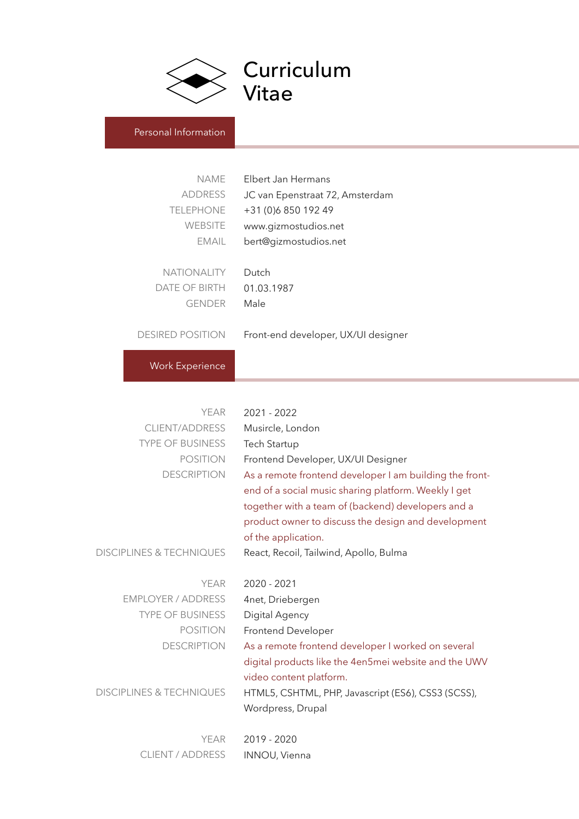

Curriculum Vitae

#### Personal Information

| <b>NAME</b>             | Elbert Jan Hermans                  |
|-------------------------|-------------------------------------|
| <b>ADDRESS</b>          | JC van Epenstraat 72, Amsterdam     |
| <b>TELEPHONE</b>        | +31 (0)6 850 192 49                 |
| <b>WEBSITE</b>          | www.gizmostudios.net                |
| <b>EMAIL</b>            | bert@gizmostudios.net               |
|                         |                                     |
| <b>NATIONALITY</b>      | Dutch                               |
| <b>DATE OF BIRTH</b>    | 01.03.1987                          |
| <b>GENDER</b>           | Male                                |
|                         |                                     |
| <b>DESIRED POSITION</b> | Front-end developer, UX/UI designer |
|                         |                                     |
| <b>Work Experience</b>  |                                     |
|                         |                                     |
|                         |                                     |
| <b>YEAR</b>             | 2021 - 2022                         |
| <b>CLIENT/ADDRESS</b>   | Musircle, London                    |
| <b>TYPE OF BUSINESS</b> | <b>Tech Startup</b>                 |

| <b>YPE OF BUSINESS</b> | Tech Startup                                            |
|------------------------|---------------------------------------------------------|
| <b>POSITION</b>        | Frontend Developer, UX/UI Designer                      |
| <b>DESCRIPTION</b>     | As a remote frontend developer I am building the front- |
|                        | end of a social music sharing platform. Weekly I get    |
|                        | together with a team of (backend) developers and a      |
|                        | product owner to discuss the design and development     |
|                        | of the application.                                     |
| FS & TECHNIOLIES       | Roact Recoil Tailwind Apollo Bulma                      |

React, Recoil, Tailwind, Apollo, Bulma DISCIPLINES & TECHNIQUES

| YFAR                    |
|-------------------------|
| EMPLOYER / ADDRESS      |
| <b>TYPE OF BUSINESS</b> |
| POSITION                |
| <b>DESCRIPTION</b>      |

2020 - 2021 4net, Driebergen Digital Agency Frontend Developer As a remote frontend developer I worked on several digital products like the 4en5mei website and the UWV video content platform. HTML5, CSHTML, PHP, Javascript (ES6), CSS3 (SCSS),

DISCIPLINES & TECHNIQUES

Wordpress, Drupal

2019 - 2020 CLIENT / ADDRESS INNOU, Vienna YEAR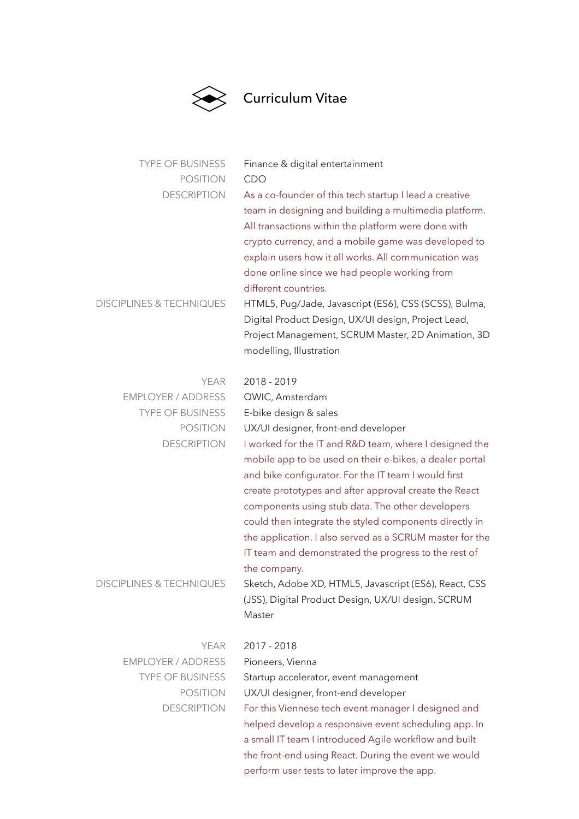

# Surriculum Vitae

| <b>TYPE OF BUSINESS</b><br><b>POSITION</b> | Finance & digital entertainment<br>CDO                                                                                                                                                                                                                                                                                                                                                                                                                                               |
|--------------------------------------------|--------------------------------------------------------------------------------------------------------------------------------------------------------------------------------------------------------------------------------------------------------------------------------------------------------------------------------------------------------------------------------------------------------------------------------------------------------------------------------------|
| <b>DESCRIPTION</b>                         | As a co-founder of this tech startup I lead a creative<br>team in designing and building a multimedia platform.<br>All transactions within the platform were done with<br>crypto currency, and a mobile game was developed to<br>explain users how it all works. All communication was<br>done online since we had people working from<br>different countries.                                                                                                                       |
| <b>DISCIPLINES &amp; TECHNIQUES</b>        | HTML5, Pug/Jade, Javascript (ES6), CSS (SCSS), Bulma,<br>Digital Product Design, UX/UI design, Project Lead,<br>Project Management, SCRUM Master, 2D Animation, 3D<br>modelling, Illustration                                                                                                                                                                                                                                                                                        |
| <b>YEAR</b>                                | 2018 - 2019                                                                                                                                                                                                                                                                                                                                                                                                                                                                          |
| <b>EMPLOYER / ADDRESS</b>                  | QWIC, Amsterdam                                                                                                                                                                                                                                                                                                                                                                                                                                                                      |
| <b>TYPE OF BUSINESS</b>                    | E-bike design & sales                                                                                                                                                                                                                                                                                                                                                                                                                                                                |
| <b>POSITION</b>                            | UX/UI designer, front-end developer                                                                                                                                                                                                                                                                                                                                                                                                                                                  |
| <b>DESCRIPTION</b>                         | I worked for the IT and R&D team, where I designed the<br>mobile app to be used on their e-bikes, a dealer portal<br>and bike configurator. For the IT team I would first<br>create prototypes and after approval create the React<br>components using stub data. The other developers<br>could then integrate the styled components directly in<br>the application. I also served as a SCRUM master for the<br>IT team and demonstrated the progress to the rest of<br>the company. |
| <b>DISCIPLINES &amp; TECHNIQUES</b>        | Sketch, Adobe XD, HTML5, Javascript (ES6), React, CSS<br>(JSS), Digital Product Design, UX/UI design, SCRUM<br>Master                                                                                                                                                                                                                                                                                                                                                                |
| YEAR                                       | 2017 - 2018                                                                                                                                                                                                                                                                                                                                                                                                                                                                          |
| <b>EMPLOYER / ADDRESS</b>                  | Pioneers, Vienna                                                                                                                                                                                                                                                                                                                                                                                                                                                                     |
| <b>TYPE OF BUSINESS</b>                    | Startup accelerator, event management                                                                                                                                                                                                                                                                                                                                                                                                                                                |
| <b>POSITION</b>                            | UX/UI designer, front-end developer                                                                                                                                                                                                                                                                                                                                                                                                                                                  |
| <b>DESCRIPTION</b>                         | For this Viennese tech event manager I designed and<br>helped develop a responsive event scheduling app. In<br>a small IT team I introduced Agile workflow and built<br>the front-end using React. During the event we would<br>perform user tests to later improve the app.                                                                                                                                                                                                         |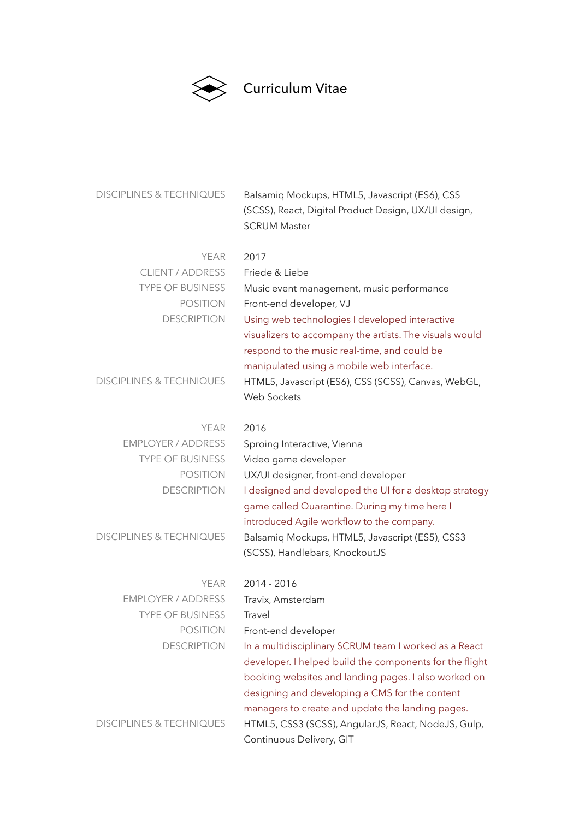

## Surriculum Vitae

| <b>DISCIPLINES &amp; TECHNIQUES</b>        | Balsamiq Mockups, HTML5, Javascript (ES6), CSS<br>(SCSS), React, Digital Product Design, UX/UI design,<br><b>SCRUM Master</b>                                                                                                                                                  |
|--------------------------------------------|--------------------------------------------------------------------------------------------------------------------------------------------------------------------------------------------------------------------------------------------------------------------------------|
| YEAR<br><b>CLIENT / ADDRESS</b>            | 2017<br>Friede & Liebe                                                                                                                                                                                                                                                         |
| <b>TYPE OF BUSINESS</b><br><b>POSITION</b> | Music event management, music performance                                                                                                                                                                                                                                      |
| <b>DESCRIPTION</b>                         | Front-end developer, VJ<br>Using web technologies I developed interactive<br>visualizers to accompany the artists. The visuals would<br>respond to the music real-time, and could be<br>manipulated using a mobile web interface.                                              |
| <b>DISCIPLINES &amp; TECHNIQUES</b>        | HTML5, Javascript (ES6), CSS (SCSS), Canvas, WebGL,<br>Web Sockets                                                                                                                                                                                                             |
| <b>YEAR</b>                                | 2016                                                                                                                                                                                                                                                                           |
| <b>EMPLOYER / ADDRESS</b>                  | Sproing Interactive, Vienna                                                                                                                                                                                                                                                    |
| <b>TYPE OF BUSINESS</b>                    | Video game developer                                                                                                                                                                                                                                                           |
| <b>POSITION</b><br><b>DESCRIPTION</b>      | UX/UI designer, front-end developer<br>I designed and developed the UI for a desktop strategy<br>game called Quarantine. During my time here I<br>introduced Agile workflow to the company.                                                                                    |
| <b>DISCIPLINES &amp; TECHNIQUES</b>        | Balsamiq Mockups, HTML5, Javascript (ES5), CSS3<br>(SCSS), Handlebars, KnockoutJS                                                                                                                                                                                              |
| YEAR                                       | 2014 - 2016                                                                                                                                                                                                                                                                    |
| <b>EMPLOYER / ADDRESS</b>                  | Travix, Amsterdam                                                                                                                                                                                                                                                              |
| <b>TYPE OF BUSINESS</b>                    | Travel                                                                                                                                                                                                                                                                         |
| <b>POSITION</b>                            | Front-end developer                                                                                                                                                                                                                                                            |
| <b>DESCRIPTION</b>                         | In a multidisciplinary SCRUM team I worked as a React<br>developer. I helped build the components for the flight<br>booking websites and landing pages. I also worked on<br>designing and developing a CMS for the content<br>managers to create and update the landing pages. |
| <b>DISCIPLINES &amp; TECHNIQUES</b>        | HTML5, CSS3 (SCSS), AngularJS, React, NodeJS, Gulp,<br>Continuous Delivery, GIT                                                                                                                                                                                                |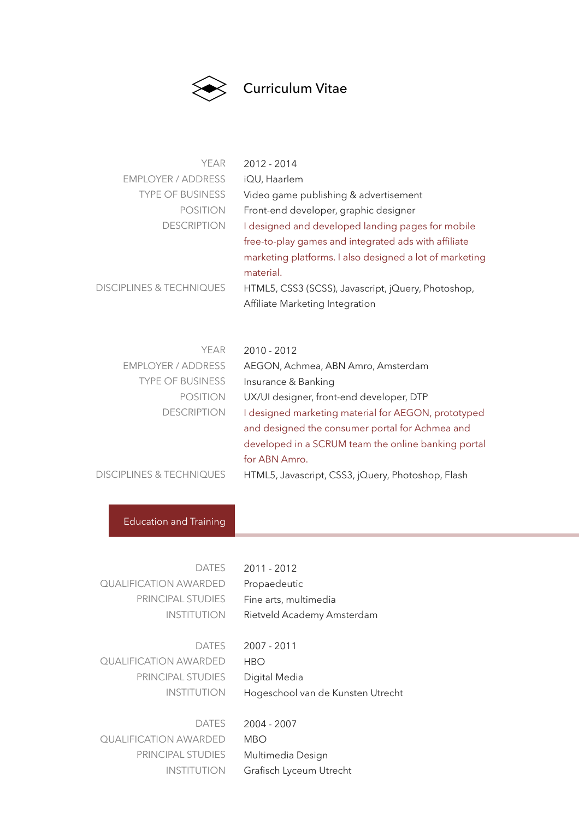

### Curriculum Vitae

| YEAR                                | $2012 - 2014$                                           |
|-------------------------------------|---------------------------------------------------------|
| EMPLOYER / ADDRESS                  | iQU, Haarlem                                            |
| <b>TYPE OF BUSINESS</b>             | Video game publishing & advertisement                   |
| <b>POSITION</b>                     | Front-end developer, graphic designer                   |
| <b>DESCRIPTION</b>                  | I designed and developed landing pages for mobile       |
|                                     | free-to-play games and integrated ads with affiliate    |
|                                     | marketing platforms. I also designed a lot of marketing |
|                                     | material.                                               |
| <b>DISCIPLINES &amp; TECHNIQUES</b> | HTML5, CSS3 (SCSS), Javascript, jQuery, Photoshop,      |
|                                     | Affiliate Marketing Integration                         |
|                                     |                                                         |

| YEAR                                | 2010 - 2012                                         |
|-------------------------------------|-----------------------------------------------------|
| <b>EMPLOYER / ADDRESS</b>           | AEGON, Achmea, ABN Amro, Amsterdam                  |
| <b>TYPE OF BUSINESS</b>             | Insurance & Banking                                 |
| <b>POSITION</b>                     | UX/UI designer, front-end developer, DTP            |
| <b>DESCRIPTION</b>                  | I designed marketing material for AEGON, prototyped |
|                                     | and designed the consumer portal for Achmea and     |
|                                     | developed in a SCRUM team the online banking portal |
|                                     | for ABN Amro.                                       |
| <b>DISCIPLINES &amp; TECHNIQUES</b> | HTML5, Javascript, CSS3, jQuery, Photoshop, Flash   |

### Education and Training

| <b>DATES</b>          |
|-----------------------|
| OUALIFICATION AWARDED |
| PRINCIPAL STUDIES     |
| <b>INSTITUTION</b>    |

2011 - 2012 Propaedeutic Fine arts, multimedia Rietveld Academy Amsterdam

DATES QUALIFICATION AWARDED PRINCIPAL STUDIES INSTITUTION 2007 - 2011 HBO Digital Media Hogeschool van de Kunsten Utrecht

DATES QUALIFICATION AWARDED PRINCIPAL STUDIES INSTITUTION 2004 - 2007 MBO Multimedia Design Grafisch Lyceum Utrecht